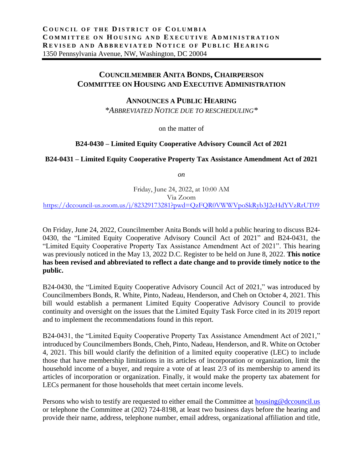## **COUNCILMEMBER ANITA BONDS, CHAIRPERSON COMMITTEE ON HOUSING AND EXECUTIVE ADMINISTRATION**

## **ANNOUNCES A PUBLIC HEARING**

*\*ABBREVIATED NOTICE DUE TO RESCHEDULING\**

on the matter of

## **B24-0430 – Limited Equity Cooperative Advisory Council Act of 2021**

## **B24-0431 – Limited Equity Cooperative Property Tax Assistance Amendment Act of 2021**

*on*

Friday, June 24, 2022, at 10:00 AM Via Zoom <https://dccouncil-us.zoom.us/j/82329173281?pwd=QzFQR0VWWVpoSkRyb3J2eHdYVzRrUT09>

On Friday, June 24, 2022, Councilmember Anita Bonds will hold a public hearing to discuss B24- 0430, the "Limited Equity Cooperative Advisory Council Act of 2021" and B24-0431, the "Limited Equity Cooperative Property Tax Assistance Amendment Act of 2021". This hearing was previously noticed in the May 13, 2022 D.C. Register to be held on June 8, 2022. **This notice has been revised and abbreviated to reflect a date change and to provide timely notice to the public.**

B24-0430, the "Limited Equity Cooperative Advisory Council Act of 2021," was introduced by Councilmembers Bonds, R. White, Pinto, Nadeau, Henderson, and Cheh on October 4, 2021. This bill would establish a permanent Limited Equity Cooperative Advisory Council to provide continuity and oversight on the issues that the Limited Equity Task Force cited in its 2019 report and to implement the recommendations found in this report.

B24-0431, the "Limited Equity Cooperative Property Tax Assistance Amendment Act of 2021," introduced by Councilmembers Bonds, Cheh, Pinto, Nadeau, Henderson, and R. White on October 4, 2021. This bill would clarify the definition of a limited equity cooperative (LEC) to include those that have membership limitations in its articles of incorporation or organization, limit the household income of a buyer, and require a vote of at least 2/3 of its membership to amend its articles of incorporation or organization. Finally, it would make the property tax abatement for LECs permanent for those households that meet certain income levels.

Persons who wish to testify are requested to either email the Committee at [housing@dccouncil.us](mailto:housing@dccouncil.us) or telephone the Committee at (202) 724-8198, at least two business days before the hearing and provide their name, address, telephone number, email address, organizational affiliation and title,